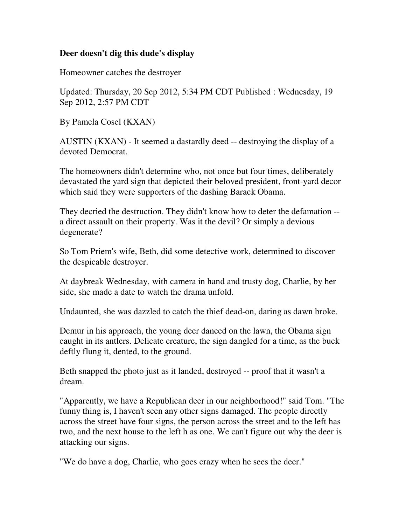## **Deer doesn't dig this dude's display**

Homeowner catches the destroyer

Updated: Thursday, 20 Sep 2012, 5:34 PM CDT Published : Wednesday, 19 Sep 2012, 2:57 PM CDT

By Pamela Cosel (KXAN)

AUSTIN (KXAN) - It seemed a dastardly deed -- destroying the display of a devoted Democrat.

The homeowners didn't determine who, not once but four times, deliberately devastated the yard sign that depicted their beloved president, front-yard decor which said they were supporters of the dashing Barack Obama.

They decried the destruction. They didn't know how to deter the defamation - a direct assault on their property. Was it the devil? Or simply a devious degenerate?

So Tom Priem's wife, Beth, did some detective work, determined to discover the despicable destroyer.

At daybreak Wednesday, with camera in hand and trusty dog, Charlie, by her side, she made a date to watch the drama unfold.

Undaunted, she was dazzled to catch the thief dead-on, daring as dawn broke.

Demur in his approach, the young deer danced on the lawn, the Obama sign caught in its antlers. Delicate creature, the sign dangled for a time, as the buck deftly flung it, dented, to the ground.

Beth snapped the photo just as it landed, destroyed -- proof that it wasn't a dream.

"Apparently, we have a Republican deer in our neighborhood!" said Tom. "The funny thing is, I haven't seen any other signs damaged. The people directly across the street have four signs, the person across the street and to the left has two, and the next house to the left h as one. We can't figure out why the deer is attacking our signs.

"We do have a dog, Charlie, who goes crazy when he sees the deer."